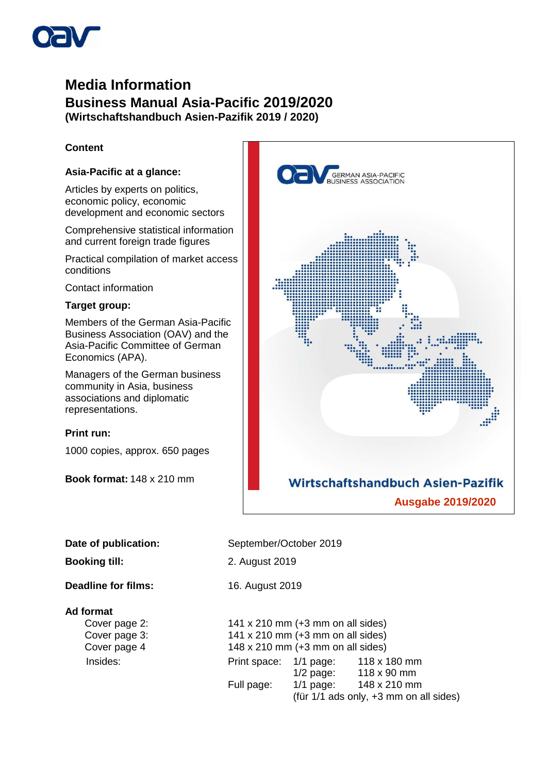

# **Media Information Business Manual Asia-Pacific 2019/2020 (Wirtschaftshandbuch Asien-Pazifik 2019 / 2020)**

## **Content**

## **Asia-Pacific at a glance:**

Articles by experts on politics, economic policy, economic development and economic sectors

Comprehensive statistical information and current foreign trade figures

Practical compilation of market access conditions

Contact information

### **Target group:**

Members of the German Asia-Pacific Business Association (OAV) and the Asia-Pacific Committee of German Economics (APA).

Managers of the German business community in Asia, business associations and diplomatic representations.

### **Print run:**

1000 copies, approx. 650 pages

**Book format:** 148 x 210 mm



**Booking till:** 2. August 2019

**Deadline for films:** 16. August 2019

#### **Ad format**

Cover page 2: 141 x 210 mm (+3 mm on all sides) Cover page 3: 141 x 210 mm (+3 mm on all sides) Cover page 4 148 x 210 mm (+3 mm on all sides) Insides: Print space: 1/1 page: 118 x 180 mm 1/2 page: 118 x 90 mm Full page: 1/1 page: 148 x 210 mm (für 1/1 ads only, +3 mm on all sides)

September/October 2019